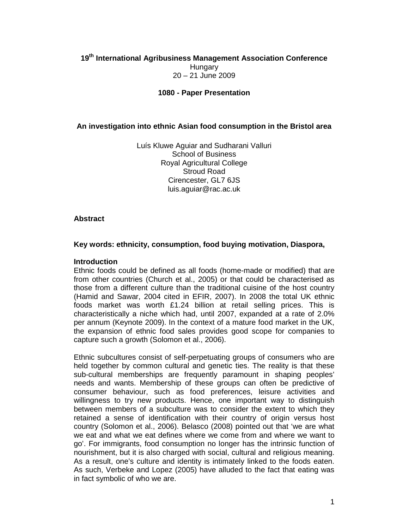# **19th International Agribusiness Management Association Conference Hungary** 20 – 21 June 2009

#### **1080 - Paper Presentation**

### **An investigation into ethnic Asian food consumption in the Bristol area**

Luís Kluwe Aguiar and Sudharani Valluri School of Business Royal Agricultural College Stroud Road Cirencester, GL7 6JS luis.aguiar@rac.ac.uk

#### **Abstract**

#### **Key words: ethnicity, consumption, food buying motivation, Diaspora,**

#### **Introduction**

Ethnic foods could be defined as all foods (home-made or modified) that are from other countries (Church et al., 2005) or that could be characterised as those from a different culture than the traditional cuisine of the host country (Hamid and Sawar, 2004 cited in EFIR, 2007). In 2008 the total UK ethnic foods market was worth £1.24 billion at retail selling prices. This is characteristically a niche which had, until 2007, expanded at a rate of 2.0% per annum (Keynote 2009). In the context of a mature food market in the UK, the expansion of ethnic food sales provides good scope for companies to capture such a growth (Solomon et al., 2006).

Ethnic subcultures consist of self-perpetuating groups of consumers who are held together by common cultural and genetic ties. The reality is that these sub-cultural memberships are frequently paramount in shaping peoples' needs and wants. Membership of these groups can often be predictive of consumer behaviour, such as food preferences, leisure activities and willingness to try new products. Hence, one important way to distinguish between members of a subculture was to consider the extent to which they retained a sense of identification with their country of origin versus host country (Solomon et al., 2006). Belasco (2008) pointed out that 'we are what we eat and what we eat defines where we come from and where we want to go'. For immigrants, food consumption no longer has the intrinsic function of nourishment, but it is also charged with social, cultural and religious meaning. As a result, one's culture and identity is intimately linked to the foods eaten. As such, Verbeke and Lopez (2005) have alluded to the fact that eating was in fact symbolic of who we are.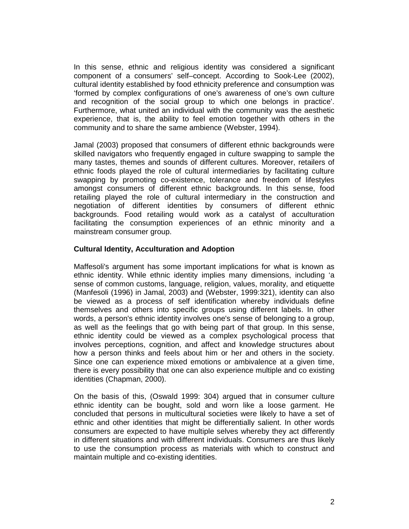In this sense, ethnic and religious identity was considered a significant component of a consumers' self–concept. According to Sook-Lee (2002), cultural identity established by food ethnicity preference and consumption was 'formed by complex configurations of one's awareness of one's own culture and recognition of the social group to which one belongs in practice'. Furthermore, what united an individual with the community was the aesthetic experience, that is, the ability to feel emotion together with others in the community and to share the same ambience (Webster, 1994).

Jamal (2003) proposed that consumers of different ethnic backgrounds were skilled navigators who frequently engaged in culture swapping to sample the many tastes, themes and sounds of different cultures. Moreover, retailers of ethnic foods played the role of cultural intermediaries by facilitating culture swapping by promoting co-existence, tolerance and freedom of lifestyles amongst consumers of different ethnic backgrounds. In this sense, food retailing played the role of cultural intermediary in the construction and negotiation of different identities by consumers of different ethnic backgrounds. Food retailing would work as a catalyst of acculturation facilitating the consumption experiences of an ethnic minority and a mainstream consumer group.

### **Cultural Identity, Acculturation and Adoption**

Maffesoli's argument has some important implications for what is known as ethnic identity. While ethnic identity implies many dimensions, including 'a sense of common customs, language, religion, values, morality, and etiquette (Manfesoli (1996) in Jamal, 2003) and (Webster, 1999:321), identity can also be viewed as a process of self identification whereby individuals define themselves and others into specific groups using different labels. In other words, a person's ethnic identity involves one's sense of belonging to a group, as well as the feelings that go with being part of that group. In this sense, ethnic identity could be viewed as a complex psychological process that involves perceptions, cognition, and affect and knowledge structures about how a person thinks and feels about him or her and others in the society. Since one can experience mixed emotions or ambivalence at a given time, there is every possibility that one can also experience multiple and co existing identities (Chapman, 2000).

On the basis of this, (Oswald 1999: 304) argued that in consumer culture ethnic identity can be bought, sold and worn like a loose garment. He concluded that persons in multicultural societies were likely to have a set of ethnic and other identities that might be differentially salient. In other words consumers are expected to have multiple selves whereby they act differently in different situations and with different individuals. Consumers are thus likely to use the consumption process as materials with which to construct and maintain multiple and co-existing identities.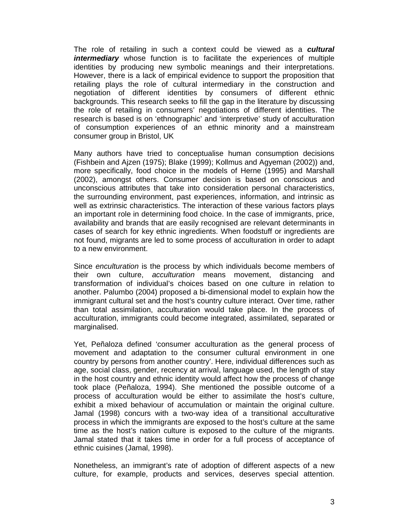The role of retailing in such a context could be viewed as a **cultural**  *intermediary* whose function is to facilitate the experiences of multiple identities by producing new symbolic meanings and their interpretations. However, there is a lack of empirical evidence to support the proposition that retailing plays the role of cultural intermediary in the construction and negotiation of different identities by consumers of different ethnic backgrounds. This research seeks to fill the gap in the literature by discussing the role of retailing in consumers' negotiations of different identities. The research is based is on 'ethnographic' and 'interpretive' study of acculturation of consumption experiences of an ethnic minority and a mainstream consumer group in Bristol, UK

Many authors have tried to conceptualise human consumption decisions (Fishbein and Ajzen (1975); Blake (1999); Kollmus and Agyeman (2002)) and, more specifically, food choice in the models of Herne (1995) and Marshall (2002), amongst others. Consumer decision is based on conscious and unconscious attributes that take into consideration personal characteristics, the surrounding environment, past experiences, information, and intrinsic as well as extrinsic characteristics. The interaction of these various factors plays an important role in determining food choice. In the case of immigrants, price, availability and brands that are easily recognised are relevant determinants in cases of search for key ethnic ingredients. When foodstuff or ingredients are not found, migrants are led to some process of acculturation in order to adapt to a new environment.

Since enculturation is the process by which individuals become members of their own culture, acculturation means movement, distancing and transformation of individual's choices based on one culture in relation to another. Palumbo (2004) proposed a bi-dimensional model to explain how the immigrant cultural set and the host's country culture interact. Over time, rather than total assimilation, acculturation would take place. In the process of acculturation, immigrants could become integrated, assimilated, separated or marginalised.

Yet, Peñaloza defined 'consumer acculturation as the general process of movement and adaptation to the consumer cultural environment in one country by persons from another country'. Here, individual differences such as age, social class, gender, recency at arrival, language used, the length of stay in the host country and ethnic identity would affect how the process of change took place (Peñaloza, 1994). She mentioned the possible outcome of a process of acculturation would be either to assimilate the host's culture, exhibit a mixed behaviour of accumulation or maintain the original culture. Jamal (1998) concurs with a two-way idea of a transitional acculturative process in which the immigrants are exposed to the host's culture at the same time as the host's nation culture is exposed to the culture of the migrants. Jamal stated that it takes time in order for a full process of acceptance of ethnic cuisines (Jamal, 1998).

Nonetheless, an immigrant's rate of adoption of different aspects of a new culture, for example, products and services, deserves special attention.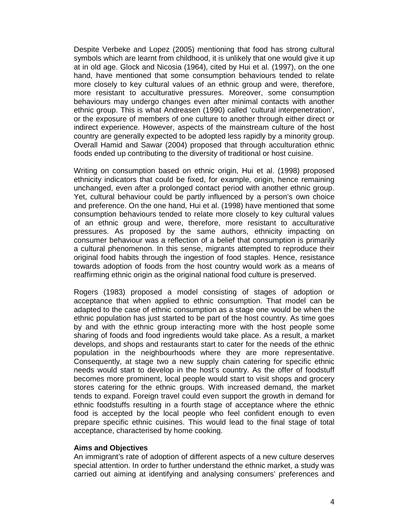Despite Verbeke and Lopez (2005) mentioning that food has strong cultural symbols which are learnt from childhood, it is unlikely that one would give it up at in old age. Glock and Nicosia (1964), cited by Hui et al. (1997), on the one hand, have mentioned that some consumption behaviours tended to relate more closely to key cultural values of an ethnic group and were, therefore, more resistant to acculturative pressures. Moreover, some consumption behaviours may undergo changes even after minimal contacts with another ethnic group. This is what Andreasen (1990) called 'cultural interpenetration', or the exposure of members of one culture to another through either direct or indirect experience. However, aspects of the mainstream culture of the host country are generally expected to be adopted less rapidly by a minority group. Overall Hamid and Sawar (2004) proposed that through acculturation ethnic foods ended up contributing to the diversity of traditional or host cuisine.

Writing on consumption based on ethnic origin, Hui et al. (1998) proposed ethnicity indicators that could be fixed, for example, origin, hence remaining unchanged, even after a prolonged contact period with another ethnic group. Yet, cultural behaviour could be partly influenced by a person's own choice and preference. On the one hand, Hui et al. (1998) have mentioned that some consumption behaviours tended to relate more closely to key cultural values of an ethnic group and were, therefore, more resistant to acculturative pressures. As proposed by the same authors, ethnicity impacting on consumer behaviour was a reflection of a belief that consumption is primarily a cultural phenomenon. In this sense, migrants attempted to reproduce their original food habits through the ingestion of food staples. Hence, resistance towards adoption of foods from the host country would work as a means of reaffirming ethnic origin as the original national food culture is preserved.

Rogers (1983) proposed a model consisting of stages of adoption or acceptance that when applied to ethnic consumption. That model can be adapted to the case of ethnic consumption as a stage one would be when the ethnic population has just started to be part of the host country. As time goes by and with the ethnic group interacting more with the host people some sharing of foods and food ingredients would take place. As a result, a market develops, and shops and restaurants start to cater for the needs of the ethnic population in the neighbourhoods where they are more representative. Consequently, at stage two a new supply chain catering for specific ethnic needs would start to develop in the host's country. As the offer of foodstuff becomes more prominent, local people would start to visit shops and grocery stores catering for the ethnic groups. With increased demand, the market tends to expand. Foreign travel could even support the growth in demand for ethnic foodstuffs resulting in a fourth stage of acceptance where the ethnic food is accepted by the local people who feel confident enough to even prepare specific ethnic cuisines. This would lead to the final stage of total acceptance, characterised by home cooking.

#### **Aims and Objectives**

An immigrant's rate of adoption of different aspects of a new culture deserves special attention. In order to further understand the ethnic market, a study was carried out aiming at identifying and analysing consumers' preferences and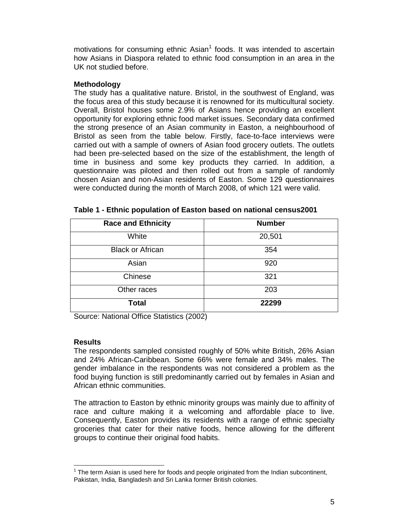motivations for consuming ethnic Asian<sup>1</sup> foods. It was intended to ascertain how Asians in Diaspora related to ethnic food consumption in an area in the UK not studied before.

### **Methodology**

The study has a qualitative nature. Bristol, in the southwest of England, was the focus area of this study because it is renowned for its multicultural society. Overall, Bristol houses some 2.9% of Asians hence providing an excellent opportunity for exploring ethnic food market issues. Secondary data confirmed the strong presence of an Asian community in Easton, a neighbourhood of Bristol as seen from the table below. Firstly, face-to-face interviews were carried out with a sample of owners of Asian food grocery outlets. The outlets had been pre-selected based on the size of the establishment, the length of time in business and some key products they carried. In addition, a questionnaire was piloted and then rolled out from a sample of randomly chosen Asian and non-Asian residents of Easton. Some 129 questionnaires were conducted during the month of March 2008, of which 121 were valid.

| <b>Race and Ethnicity</b> | <b>Number</b> |
|---------------------------|---------------|
| White                     | 20,501        |
| <b>Black or African</b>   | 354           |
| Asian                     | 920           |
| Chinese                   | 321           |
| Other races               | 203           |
| <b>Total</b>              | 22299         |

| Table 1 - Ethnic population of Easton based on national census2001 |  |
|--------------------------------------------------------------------|--|
|--------------------------------------------------------------------|--|

Source: National Office Statistics (2002)

## **Results**

-

The respondents sampled consisted roughly of 50% white British, 26% Asian and 24% African-Caribbean. Some 66% were female and 34% males. The gender imbalance in the respondents was not considered a problem as the food buying function is still predominantly carried out by females in Asian and African ethnic communities.

The attraction to Easton by ethnic minority groups was mainly due to affinity of race and culture making it a welcoming and affordable place to live. Consequently, Easton provides its residents with a range of ethnic specialty groceries that cater for their native foods, hence allowing for the different groups to continue their original food habits.

 $1$  The term Asian is used here for foods and people originated from the Indian subcontinent, Pakistan, India, Bangladesh and Sri Lanka former British colonies.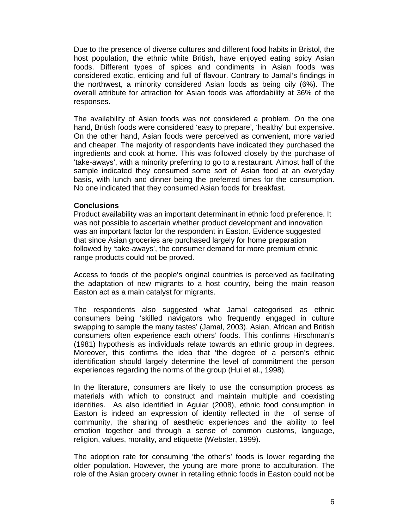Due to the presence of diverse cultures and different food habits in Bristol, the host population, the ethnic white British, have enjoyed eating spicy Asian foods. Different types of spices and condiments in Asian foods was considered exotic, enticing and full of flavour. Contrary to Jamal's findings in the northwest, a minority considered Asian foods as being oily (6%). The overall attribute for attraction for Asian foods was affordability at 36% of the responses.

The availability of Asian foods was not considered a problem. On the one hand, British foods were considered 'easy to prepare', 'healthy' but expensive. On the other hand, Asian foods were perceived as convenient, more varied and cheaper. The majority of respondents have indicated they purchased the ingredients and cook at home. This was followed closely by the purchase of 'take-aways', with a minority preferring to go to a restaurant. Almost half of the sample indicated they consumed some sort of Asian food at an everyday basis, with lunch and dinner being the preferred times for the consumption. No one indicated that they consumed Asian foods for breakfast.

### **Conclusions**

Product availability was an important determinant in ethnic food preference. It was not possible to ascertain whether product development and innovation was an important factor for the respondent in Easton. Evidence suggested that since Asian groceries are purchased largely for home preparation followed by 'take-aways', the consumer demand for more premium ethnic range products could not be proved.

Access to foods of the people's original countries is perceived as facilitating the adaptation of new migrants to a host country, being the main reason Easton act as a main catalyst for migrants.

The respondents also suggested what Jamal categorised as ethnic consumers being 'skilled navigators who frequently engaged in culture swapping to sample the many tastes' (Jamal, 2003). Asian, African and British consumers often experience each others' foods. This confirms Hirschman's (1981) hypothesis as individuals relate towards an ethnic group in degrees. Moreover, this confirms the idea that 'the degree of a person's ethnic identification should largely determine the level of commitment the person experiences regarding the norms of the group (Hui et al., 1998).

In the literature, consumers are likely to use the consumption process as materials with which to construct and maintain multiple and coexisting identities. As also identified in Aguiar (2008), ethnic food consumption in Easton is indeed an expression of identity reflected in the of sense of community, the sharing of aesthetic experiences and the ability to feel emotion together and through a sense of common customs, language, religion, values, morality, and etiquette (Webster, 1999).

The adoption rate for consuming 'the other's' foods is lower regarding the older population. However, the young are more prone to acculturation. The role of the Asian grocery owner in retailing ethnic foods in Easton could not be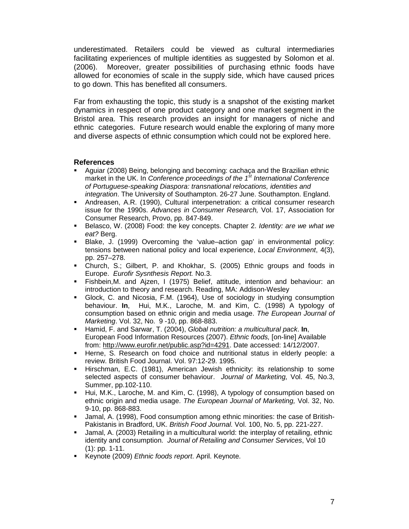underestimated. Retailers could be viewed as cultural intermediaries facilitating experiences of multiple identities as suggested by Solomon et al. (2006). Moreover, greater possibilities of purchasing ethnic foods have allowed for economies of scale in the supply side, which have caused prices to go down. This has benefited all consumers.

Far from exhausting the topic, this study is a snapshot of the existing market dynamics in respect of one product category and one market segment in the Bristol area. This research provides an insight for managers of niche and ethnic categories. Future research would enable the exploring of many more and diverse aspects of ethnic consumption which could not be explored here.

### **References**

- Aguiar (2008) Being, belonging and becoming: cachaça and the Brazilian ethnic market in the UK. In Conference proceedings of the  $1<sup>st</sup>$  International Conference of Portuguese-speaking Diaspora: transnational relocations, identities and integration. The University of Southampton. 26-27 June. Southampton. England.
- Andreasen, A.R. (1990), Cultural interpenetration: a critical consumer research issue for the 1990s. Advances in Consumer Research, Vol. 17, Association for Consumer Research, Provo, pp. 847-849.
- Belasco, W. (2008) Food: the key concepts. Chapter 2. Identity: are we what we eat? Berg.
- Blake, J. (1999) Overcoming the 'value–action gap' in environmental policy: tensions between national policy and local experience, Local Environment, 4(3), pp. 257–278.
- Church, S.; Gilbert, P. and Khokhar, S. (2005) Ethnic groups and foods in Europe. Eurofir Sysnthesis Report. No.3.
- Fishbein,M. and Ajzen, I (1975) Belief, attitude, intention and behaviour: an introduction to theory and research. Reading, MA: Addison-Wesley
- Glock, C. and Nicosia, F.M. (1964), Use of sociology in studying consumption behaviour. **In**, Hui, M.K., Laroche, M. and Kim, C. (1998) A typology of consumption based on ethnic origin and media usage. The European Journal of Marketing. Vol. 32, No. 9 -10, pp. 868-883.
- Hamid, F. and Sarwar, T. (2004), Global nutrition: a multicultural pack. **In**, European Food Information Resources (2007). Ethnic foods, [on-line] Available from: http://www.eurofir.net/public.asp?id=4291. Date accessed: 14/12/2007.
- Herne, S. Research on food choice and nutritional status in elderly people: a review. British Food Journal. Vol. 97:12-29. 1995.
- Hirschman, E.C. (1981), American Jewish ethnicity: its relationship to some selected aspects of consumer behaviour. Journal of Marketing, Vol. 45, No.3, Summer, pp.102-110.
- Hui, M.K., Laroche, M. and Kim, C. (1998), A typology of consumption based on ethnic origin and media usage. The European Journal of Marketing, Vol. 32, No. 9-10, pp. 868-883.
- Jamal, A. (1998), Food consumption among ethnic minorities: the case of British-Pakistanis in Bradford, UK. British Food Journal. Vol. 100, No. 5, pp. 221-227.
- Jamal, A. (2003) Retailing in a multicultural world: the interplay of retailing, ethnic identity and consumption. Journal of Retailing and Consumer Services, Vol 10 (1): pp. 1-11.
- Keynote (2009) Ethnic foods report. April. Keynote.